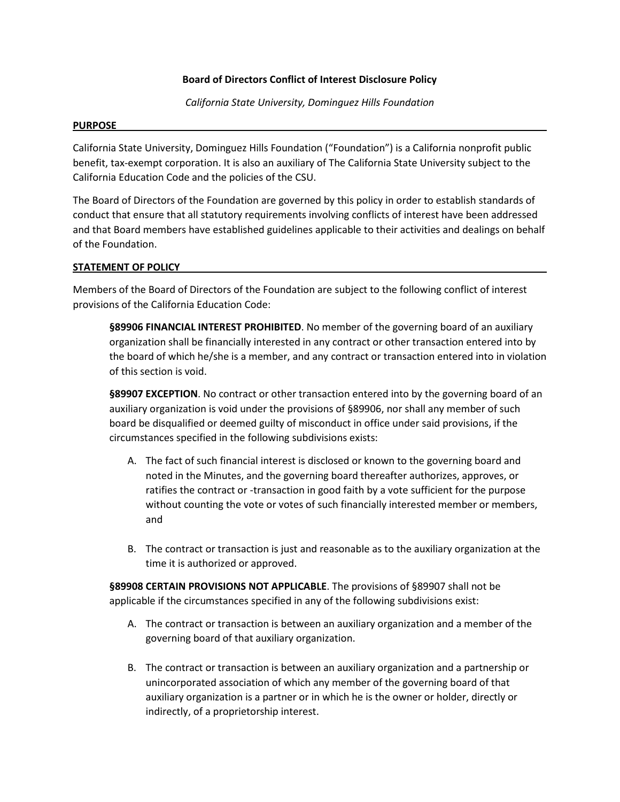# **Board of Directors Conflict of Interest Disclosure Policy**

*California State University, Dominguez Hills Foundation*

## **PURPOSE**

California State University, Dominguez Hills Foundation ("Foundation") is a California nonprofit public benefit, tax-exempt corporation. It is also an auxiliary of The California State University subject to the California Education Code and the policies of the CSU.

The Board of Directors of the Foundation are governed by this policy in order to establish standards of conduct that ensure that all statutory requirements involving conflicts of interest have been addressed and that Board members have established guidelines applicable to their activities and dealings on behalf of the Foundation.

## **STATEMENT OF POLICY**

Members of the Board of Directors of the Foundation are subject to the following conflict of interest provisions of the California Education Code:

**§89906 FINANCIAL INTEREST PROHIBITED**. No member of the governing board of an auxiliary organization shall be financially interested in any contract or other transaction entered into by the board of which he/she is a member, and any contract or transaction entered into in violation of this section is void.

**§89907 EXCEPTION**. No contract or other transaction entered into by the governing board of an auxiliary organization is void under the provisions of §89906, nor shall any member of such board be disqualified or deemed guilty of misconduct in office under said provisions, if the circumstances specified in the following subdivisions exists:

- A. The fact of such financial interest is disclosed or known to the governing board and noted in the Minutes, and the governing board thereafter authorizes, approves, or ratifies the contract or -transaction in good faith by a vote sufficient for the purpose without counting the vote or votes of such financially interested member or members, and
- B. The contract or transaction is just and reasonable as to the auxiliary organization at the time it is authorized or approved.

**§89908 CERTAIN PROVISIONS NOT APPLICABLE**. The provisions of §89907 shall not be applicable if the circumstances specified in any of the following subdivisions exist:

- A. The contract or transaction is between an auxiliary organization and a member of the governing board of that auxiliary organization.
- B. The contract or transaction is between an auxiliary organization and a partnership or unincorporated association of which any member of the governing board of that auxiliary organization is a partner or in which he is the owner or holder, directly or indirectly, of a proprietorship interest.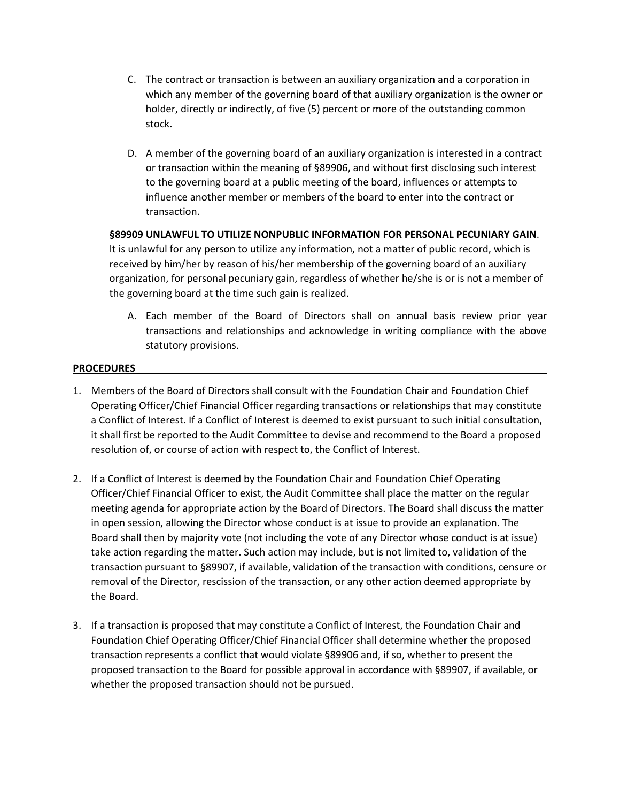- C. The contract or transaction is between an auxiliary organization and a corporation in which any member of the governing board of that auxiliary organization is the owner or holder, directly or indirectly, of five (5) percent or more of the outstanding common stock.
- D. A member of the governing board of an auxiliary organization is interested in a contract or transaction within the meaning of §89906, and without first disclosing such interest to the governing board at a public meeting of the board, influences or attempts to influence another member or members of the board to enter into the contract or transaction.

# **§89909 UNLAWFUL TO UTILIZE NONPUBLIC INFORMATION FOR PERSONAL PECUNIARY GAIN**.

It is unlawful for any person to utilize any information, not a matter of public record, which is received by him/her by reason of his/her membership of the governing board of an auxiliary organization, for personal pecuniary gain, regardless of whether he/she is or is not a member of the governing board at the time such gain is realized.

A. Each member of the Board of Directors shall on annual basis review prior year transactions and relationships and acknowledge in writing compliance with the above statutory provisions.

# **PROCEDURES**

- 1. Members of the Board of Directors shall consult with the Foundation Chair and Foundation Chief Operating Officer/Chief Financial Officer regarding transactions or relationships that may constitute a Conflict of Interest. If a Conflict of Interest is deemed to exist pursuant to such initial consultation, it shall first be reported to the Audit Committee to devise and recommend to the Board a proposed resolution of, or course of action with respect to, the Conflict of Interest.
- 2. If a Conflict of Interest is deemed by the Foundation Chair and Foundation Chief Operating Officer/Chief Financial Officer to exist, the Audit Committee shall place the matter on the regular meeting agenda for appropriate action by the Board of Directors. The Board shall discuss the matter in open session, allowing the Director whose conduct is at issue to provide an explanation. The Board shall then by majority vote (not including the vote of any Director whose conduct is at issue) take action regarding the matter. Such action may include, but is not limited to, validation of the transaction pursuant to §89907, if available, validation of the transaction with conditions, censure or removal of the Director, rescission of the transaction, or any other action deemed appropriate by the Board.
- 3. If a transaction is proposed that may constitute a Conflict of Interest, the Foundation Chair and Foundation Chief Operating Officer/Chief Financial Officer shall determine whether the proposed transaction represents a conflict that would violate §89906 and, if so, whether to present the proposed transaction to the Board for possible approval in accordance with §89907, if available, or whether the proposed transaction should not be pursued.